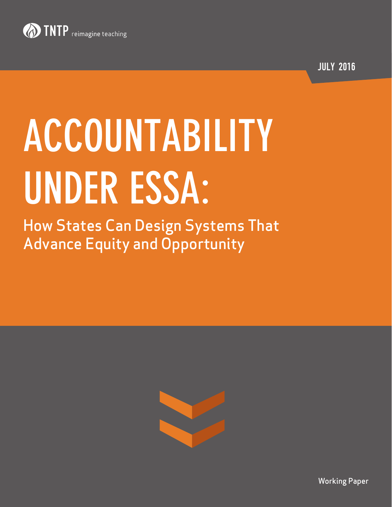

JULY 2016

# **ACCOUNTABILITY UNDER ESSA:**

How States Can Design Systems That Advance Equity and Opportunity



Working Paper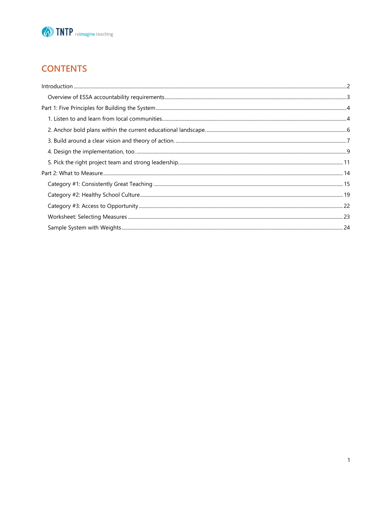

# **CONTENTS**

<span id="page-1-0"></span>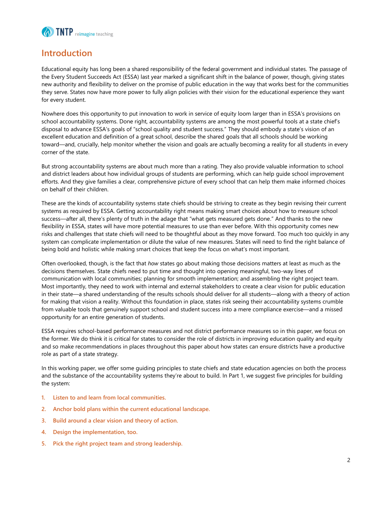

### **Introduction**

Educational equity has long been a shared responsibility of the federal government and individual states. The passage of the Every Student Succeeds Act (ESSA) last year marked a significant shift in the balance of power, though, giving states new authority and flexibility to deliver on the promise of public education in the way that works best for the communities they serve. States now have more power to fully align policies with their vision for the educational experience they want for every student.

Nowhere does this opportunity to put innovation to work in service of equity loom larger than in ESSA's provisions on school accountability systems. Done right, accountability systems are among the most powerful tools at a state chief's disposal to advance ESSA's goals of "school quality and student success." They should embody a state's vision of an excellent education and definition of a great school, describe the shared goals that all schools should be working toward—and, crucially, help monitor whether the vision and goals are actually becoming a reality for all students in every corner of the state.

But strong accountability systems are about much more than a rating. They also provide valuable information to school and district leaders about how individual groups of students are performing, which can help guide school improvement efforts. And they give families a clear, comprehensive picture of every school that can help them make informed choices on behalf of their children.

These are the kinds of accountability systems state chiefs should be striving to create as they begin revising their current systems as required by ESSA. Getting accountability right means making smart choices about how to measure school success—after all, there's plenty of truth in the adage that "what gets measured gets done." And thanks to the new flexibility in ESSA, states will have more potential measures to use than ever before. With this opportunity comes new risks and challenges that state chiefs will need to be thoughtful about as they move forward. Too much too quickly in any system can complicate implementation or dilute the value of new measures. States will need to find the right balance of being bold and holistic while making smart choices that keep the focus on what's most important.

Often overlooked, though, is the fact that *how* states go about making those decisions matters at least as much as the decisions themselves. State chiefs need to put time and thought into opening meaningful, two-way lines of communication with local communities; planning for smooth implementation; and assembling the right project team. Most importantly, they need to work with internal and external stakeholders to create a clear vision for public education in their state—a shared understanding of the results schools should deliver for all students—along with a theory of action for making that vision a reality. Without this foundation in place, states risk seeing their accountability systems crumble from valuable tools that genuinely support school and student success into a mere compliance exercise—and a missed opportunity for an entire generation of students.

ESSA requires school-based performance measures and not district performance measures so in this paper, we focus on the former. We do think it is critical for states to consider the role of districts in improving education quality and equity and so make recommendations in places throughout this paper about how states can ensure districts have a productive role as part of a state strategy.

In this working paper, we offer some guiding principles to state chiefs and state education agencies on both the process and the substance of the accountability systems they're about to build. In Part 1, we suggest five principles for building the system:

- **1. Listen to and learn from local communities.**
- **2. Anchor bold plans within the current educational landscape.**
- **3. Build around a clear vision and theory of action.**
- **4. Design the implementation, too.**
- **5. Pick the right project team and strong leadership.**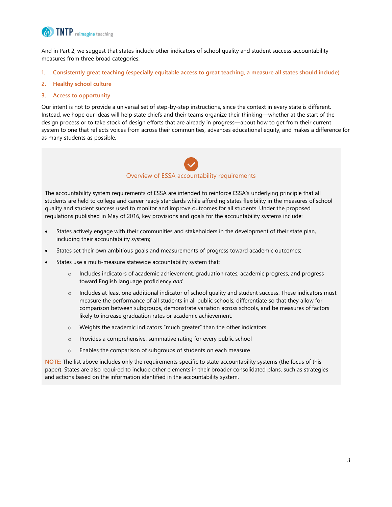

And in Part 2, we suggest that states include other indicators of school quality and student success accountability measures from three broad categories:

- **1. Consistently great teaching (especially equitable access to great teaching, a measure all states should include)**
- **2. Healthy school culture**
- **3. Access to opportunity**

Our intent is not to provide a universal set of step-by-step instructions, since the context in every state is different. Instead, we hope our ideas will help state chiefs and their teams organize their thinking—whether at the start of the design process or to take stock of design efforts that are already in progress—about how to get from their current system to one that reflects voices from across their communities, advances educational equity, and makes a difference for as many students as possible.



<span id="page-3-0"></span>The accountability system requirements of ESSA are intended to reinforce ESSA's underlying principle that all students are held to college and career ready standards while affording states flexibility in the measures of school quality and student success used to monitor and improve outcomes for all students. Under the proposed regulations published in May of 2016, key provisions and goals for the accountability systems include:

- States actively engage with their communities and stakeholders in the development of their state plan, including their accountability system;
- States set their own ambitious goals and measurements of progress toward academic outcomes;
- States use a multi-measure statewide accountability system that:
	- o Includes indicators of academic achievement, graduation rates, academic progress, and progress toward English language proficiency *and*
	- o Includes at least one additional indicator of school quality and student success. These indicators must measure the performance of all students in all public schools, differentiate so that they allow for comparison between subgroups, demonstrate variation across schools, and be measures of factors likely to increase graduation rates or academic achievement.
	- o Weights the academic indicators "much greater" than the other indicators
	- o Provides a comprehensive, summative rating for every public school
	- o Enables the comparison of subgroups of students on each measure

**NOTE:** The list above includes only the requirements specific to state accountability systems (the focus of this paper). States are also required to include other elements in their broader consolidated plans, such as strategies and actions based on the information identified in the accountability system.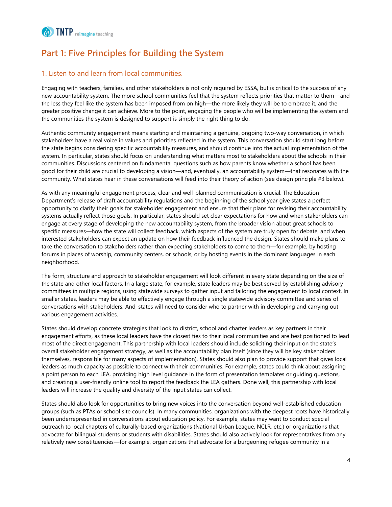

# <span id="page-4-0"></span>**Part 1: Five Principles for Building the System**

#### <span id="page-4-1"></span>1. Listen to and learn from local communities.

Engaging with teachers, families, and other stakeholders is not only required by ESSA, but is critical to the success of any new accountability system. The more school communities feel that the system reflects priorities that matter to them—and the less they feel like the system has been imposed from on high—the more likely they will be to embrace it, and the greater positive change it can achieve. More to the point, engaging the people who will be implementing the system and the communities the system is designed to support is simply the right thing to do.

Authentic community engagement means starting and maintaining a genuine, ongoing two-way conversation, in which stakeholders have a real voice in values and priorities reflected in the system. This conversation should start long before the state begins considering specific accountability measures, and should continue into the actual implementation of the system. In particular, states should focus on understanding what matters most to stakeholders about the schools in their communities. Discussions centered on fundamental questions such as how parents know whether a school has been good for their child are crucial to developing a vision—and, eventually, an accountability system—that resonates with the community. What states hear in these conversations will feed into their theory of action (see design principle #3 below).

As with any meaningful engagement process, clear and well-planned communication is crucial. The Education Department's release of draft accountability regulations and the beginning of the school year give states a perfect opportunity to clarify their goals for stakeholder engagement and ensure that their plans for revising their accountability systems actually reflect those goals. In particular, states should set clear expectations for how and when stakeholders can engage at every stage of developing the new accountability system, from the broader vision about great schools to specific measures—how the state will collect feedback, which aspects of the system are truly open for debate, and when interested stakeholders can expect an update on how their feedback influenced the design. States should make plans to take the conversation to stakeholders rather than expecting stakeholders to come to them—for example, by hosting forums in places of worship, community centers, or schools, or by hosting events in the dominant languages in each neighborhood.

The form, structure and approach to stakeholder engagement will look different in every state depending on the size of the state and other local factors. In a large state, for example, state leaders may be best served by establishing advisory committees in multiple regions, using statewide surveys to gather input and tailoring the engagement to local context. In smaller states, leaders may be able to effectively engage through a single statewide advisory committee and series of conversations with stakeholders. And, states will need to consider who to partner with in developing and carrying out various engagement activities.

States should develop concrete strategies that look to district, school and charter leaders as key partners in their engagement efforts, as these local leaders have the closest ties to their local communities and are best positioned to lead most of the direct engagement. This partnership with local leaders should include soliciting their input on the state's overall stakeholder engagement strategy, as well as the accountability plan itself (since they will be key stakeholders themselves, responsible for many aspects of implementation). States should also plan to provide support that gives local leaders as much capacity as possible to connect with their communities. For example, states could think about assigning a point person to each LEA, providing high level guidance in the form of presentation templates or guiding questions, and creating a user-friendly online tool to report the feedback the LEA gathers. Done well, this partnership with local leaders will increase the quality and diversity of the input states can collect.

States should also look for opportunities to bring new voices into the conversation beyond well-established education groups (such as PTAs or school site councils). In many communities, organizations with the deepest roots have historically been underrepresented in conversations about education policy. For example, states may want to conduct special outreach to local chapters of culturally-based organizations (National Urban League, NCLR, etc.) or organizations that advocate for bilingual students or students with disabilities. States should also actively look for representatives from any relatively new constituencies—for example, organizations that advocate for a burgeoning refugee community in a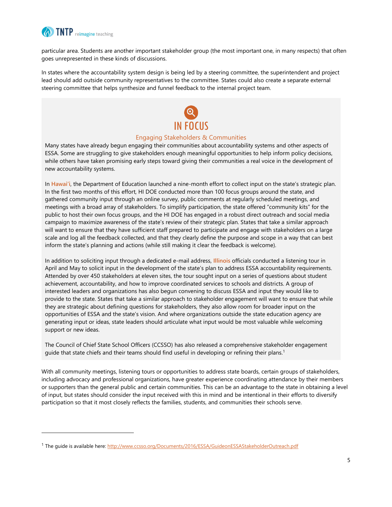

l

particular area. Students are another important stakeholder group (the most important one, in many respects) that often goes unrepresented in these kinds of discussions.

In states where the accountability system design is being led by a steering committee, the superintendent and project lead should add outside community representatives to the committee. States could also create a separate external steering committee that helps synthesize and funnel feedback to the internal project team.

# IN FOCUS

#### Engaging Stakeholders & Communities

Many states have already begun engaging their communities about accountability systems and other aspects of ESSA. Some are struggling to give stakeholders enough meaningful opportunities to help inform policy decisions, while others have taken promising early steps toward giving their communities a real voice in the development of new accountability systems.

In **Hawai'i**, the Department of Education launched a nine-month effort to collect input on the state's strategic plan. In the first two months of this effort, HI DOE conducted more than 100 focus groups around the state, and gathered community input through an online survey, public comments at regularly scheduled meetings, and meetings with a broad array of stakeholders. To simplify participation, the state offered "community kits" for the public to host their own focus groups, and the HI DOE has engaged in a robust direct outreach and social media campaign to maximize awareness of the state's review of their strategic plan. States that take a similar approach will want to ensure that they have sufficient staff prepared to participate and engage with stakeholders on a large scale and log all the feedback collected, and that they clearly define the purpose and scope in a way that can best inform the state's planning and actions (while still making it clear the feedback is welcome).

In addition to soliciting input through a dedicated e-mail address, **Illinois** officials conducted a listening tour in April and May to solicit input in the development of the state's plan to address ESSA accountability requirements. Attended by over 450 stakeholders at eleven sites, the tour sought input on a series of questions about student achievement, accountability, and how to improve coordinated services to schools and districts. A group of interested leaders and organizations has also begun convening to discuss ESSA and input they would like to provide to the state. States that take a similar approach to stakeholder engagement will want to ensure that while they are strategic about defining questions for stakeholders, they also allow room for broader input on the opportunities of ESSA and the state's vision. And where organizations outside the state education agency are generating input or ideas, state leaders should articulate what input would be most valuable while welcoming support or new ideas.

The Council of Chief State School Officers (CCSSO) has also released a comprehensive stakeholder engagement guide that state chiefs and their teams should find useful in developing or refining their plans.<sup>1</sup>

With all community meetings, listening tours or opportunities to address state boards, certain groups of stakeholders, including advocacy and professional organizations, have greater experience coordinating attendance by their members or supporters than the general public and certain communities. This can be an advantage to the state in obtaining a level of input, but states should consider the input received with this in mind and be intentional in their efforts to diversify participation so that it most closely reflects the families, students, and communities their schools serve.

<sup>&</sup>lt;sup>1</sup> The quide is available here:<http://www.ccsso.org/Documents/2016/ESSA/GuideonESSAStakeholderOutreach.pdf>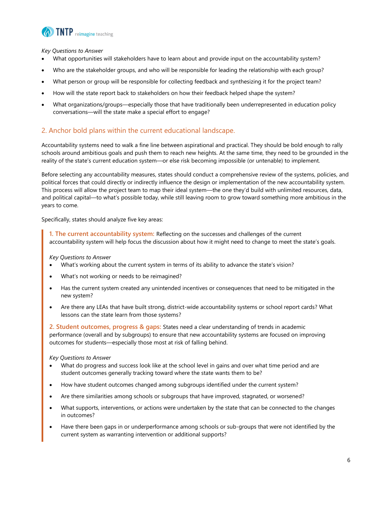

*Key Questions to Answer*

- What opportunities will stakeholders have to learn about and provide input on the accountability system?
- Who are the stakeholder groups, and who will be responsible for leading the relationship with each group?
- What person or group will be responsible for collecting feedback and synthesizing it for the project team?
- How will the state report back to stakeholders on how their feedback helped shape the system?
- What organizations/groups—especially those that have traditionally been underrepresented in education policy conversations—will the state make a special effort to engage?

#### <span id="page-6-0"></span>2. Anchor bold plans within the current educational landscape.

Accountability systems need to walk a fine line between aspirational and practical. They should be bold enough to rally schools around ambitious goals and push them to reach new heights. At the same time, they need to be grounded in the reality of the state's current education system—or else risk becoming impossible (or untenable) to implement.

Before selecting any accountability measures, states should conduct a comprehensive review of the systems, policies, and political forces that could directly or indirectly influence the design or implementation of the new accountability system. This process will allow the project team to map their ideal system—the one they'd build with unlimited resources, data, and political capital—to what's possible today, while still leaving room to grow toward something more ambitious in the years to come.

Specifically, states should analyze five key areas:

**1. The current accountability system:** Reflecting on the successes and challenges of the current accountability system will help focus the discussion about how it might need to change to meet the state's goals.

*Key Questions to Answer*

- What's working about the current system in terms of its ability to advance the state's vision?
- What's not working or needs to be reimagined?
- Has the current system created any unintended incentives or consequences that need to be mitigated in the new system?
- Are there any LEAs that have built strong, district-wide accountability systems or school report cards? What lessons can the state learn from those systems?

**2. Student outcomes, progress & gaps:** States need a clear understanding of trends in academic performance (overall and by subgroups) to ensure that new accountability systems are focused on improving outcomes for students—especially those most at risk of falling behind.

*Key Questions to Answer*

- What do progress and success look like at the school level in gains and over what time period and are student outcomes generally tracking toward where the state wants them to be?
- How have student outcomes changed among subgroups identified under the current system?
- Are there similarities among schools or subgroups that have improved, stagnated, or worsened?
- What supports, interventions, or actions were undertaken by the state that can be connected to the changes in outcomes?
- Have there been gaps in or underperformance among schools or sub-groups that were not identified by the current system as warranting intervention or additional supports?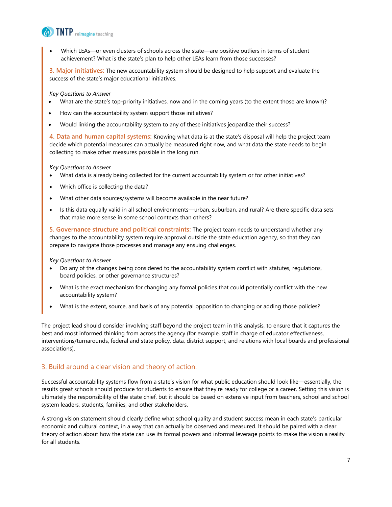

 Which LEAs—or even clusters of schools across the state—are positive outliers in terms of student achievement? What is the state's plan to help other LEAs learn from those successes?

**3. Major initiatives:** The new accountability system should be designed to help support and evaluate the success of the state's major educational initiatives.

*Key Questions to Answer*

- What are the state's top-priority initiatives, now and in the coming years (to the extent those are known)?
- How can the accountability system support those initiatives?
- Would linking the accountability system to any of these initiatives jeopardize their success?

**4. Data and human capital systems:** Knowing what data is at the state's disposal will help the project team decide which potential measures can actually be measured right now, and what data the state needs to begin collecting to make other measures possible in the long run.

*Key Questions to Answer*

- What data is already being collected for the current accountability system or for other initiatives?
- Which office is collecting the data?
- What other data sources/systems will become available in the near future?
- Is this data equally valid in all school environments—urban, suburban, and rural? Are there specific data sets that make more sense in some school contexts than others?

**5. Governance structure and political constraints:** The project team needs to understand whether any changes to the accountability system require approval outside the state education agency, so that they can prepare to navigate those processes and manage any ensuing challenges.

*Key Questions to Answer*

- Do any of the changes being considered to the accountability system conflict with statutes, regulations, board policies, or other governance structures?
- What is the exact mechanism for changing any formal policies that could potentially conflict with the new accountability system?
- What is the extent, source, and basis of any potential opposition to changing or adding those policies?

The project lead should consider involving staff beyond the project team in this analysis, to ensure that it captures the best and most informed thinking from across the agency (for example, staff in charge of educator effectiveness, interventions/turnarounds, federal and state policy, data, district support, and relations with local boards and professional associations).

#### <span id="page-7-0"></span>3. Build around a clear vision and theory of action.

Successful accountability systems flow from a state's vision for what public education should look like—essentially, the results great schools should produce for students to ensure that they're ready for college or a career. Setting this vision is ultimately the responsibility of the state chief, but it should be based on extensive input from teachers, school and school system leaders, students, families, and other stakeholders.

A strong vision statement should clearly define what school quality and student success mean in each state's particular economic and cultural context, in a way that can actually be observed and measured. It should be paired with a clear theory of action about how the state can use its formal powers and informal leverage points to make the vision a reality for all students.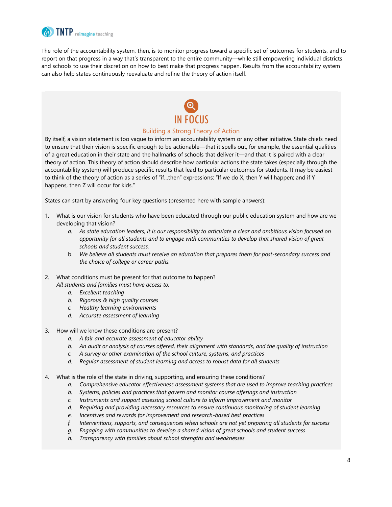

The role of the accountability system, then, is to monitor progress toward a specific set of outcomes for students, and to report on that progress in a way that's transparent to the entire community—while still empowering individual districts and schools to use their discretion on how to best make that progress happen. Results from the accountability system can also help states continuously reevaluate and refine the theory of action itself.



#### Building a Strong Theory of Action

By itself, a vision statement is too vague to inform an accountability system or any other initiative. State chiefs need to ensure that their vision is specific enough to be actionable—that it spells out, for example, the essential qualities of a great education in their state and the hallmarks of schools that deliver it—and that it is paired with a clear theory of action. This theory of action should describe how particular actions the state takes (especially through the accountability system) will produce specific results that lead to particular outcomes for students. It may be easiest to think of the theory of action as a series of "if…then" expressions: "If we do X, then Y will happen; and if Y happens, then Z will occur for kids."

States can start by answering four key questions (presented here with sample answers):

- 1. What is our vision for students who have been educated through our public education system and how are we developing that vision?
	- *a. As state education leaders, it is our responsibility to articulate a clear and ambitious vision focused on opportunity for all students and to engage with communities to develop that shared vision of great schools and student success.*
	- b. *We believe all students must receive an education that prepares them for post-secondary success and the choice of college or career paths.*
- 2. What conditions must be present for that outcome to happen? *All students and families must have access to:* 
	- *a. Excellent teaching*
	- *b. Rigorous & high quality courses*
	- *c. Healthy learning environments*
	- *d. Accurate assessment of learning*
- 3. How will we know these conditions are present?
	- *a. A fair and accurate assessment of educator ability*
	- *b. An audit or analysis of courses offered, their alignment with standards, and the quality of instruction*
	- *c. A survey or other examination of the school culture, systems, and practices*
	- *d. Regular assessment of student learning and access to robust data for all students*
- 4. What is the role of the state in driving, supporting, and ensuring these conditions?
	- *a. Comprehensive educator effectiveness assessment systems that are used to improve teaching practices*
	- *b. Systems, policies and practices that govern and monitor course offerings and instruction*
	- *c. Instruments and support assessing school culture to inform improvement and monitor*
	- *d. Requiring and providing necessary resources to ensure continuous monitoring of student learning*
	- *e. Incentives and rewards for improvement and research-based best practices*
	- *f. Interventions, supports, and consequences when schools are not yet preparing all students for success*
	- *g. Engaging with communities to develop a shared vision of great schools and student success*
	- *h. Transparency with families about school strengths and weaknesses*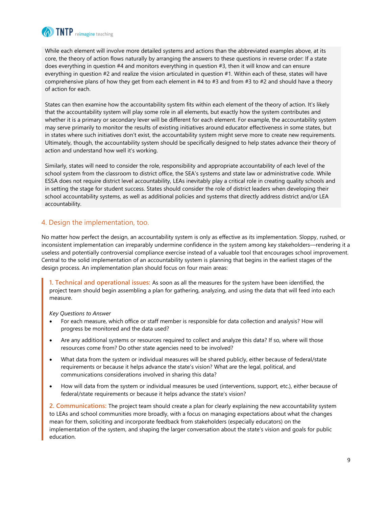

While each element will involve more detailed systems and actions than the abbreviated examples above, at its core, the theory of action flows naturally by arranging the answers to these questions in reverse order: If a state does everything in question #4 and monitors everything in question #3, then it will know and can ensure everything in question #2 and realize the vision articulated in question #1. Within each of these, states will have comprehensive plans of how they get from each element in #4 to #3 and from #3 to #2 and should have a theory of action for each.

States can then examine how the accountability system fits within each element of the theory of action. It's likely that the accountability system will play some role in all elements, but exactly how the system contributes and whether it is a primary or secondary lever will be different for each element. For example, the accountability system may serve primarily to monitor the results of existing initiatives around educator effectiveness in some states, but in states where such initiatives don't exist, the accountability system might serve more to create new requirements. Ultimately, though, the accountability system should be specifically designed to help states advance their theory of action and understand how well it's working.

Similarly, states will need to consider the role, responsibility and appropriate accountability of each level of the school system from the classroom to district office, the SEA's systems and state law or administrative code. While ESSA does not require district level accountability, LEAs inevitably play a critical role in creating quality schools and in setting the stage for student success. States should consider the role of district leaders when developing their school accountability systems, as well as additional policies and systems that directly address district and/or LEA accountability.

#### <span id="page-9-0"></span>4. Design the implementation, too.

No matter how perfect the design, an accountability system is only as effective as its implementation. Sloppy, rushed, or inconsistent implementation can irreparably undermine confidence in the system among key stakeholders—rendering it a useless and potentially controversial compliance exercise instead of a valuable tool that encourages school improvement. Central to the solid implementation of an accountability system is planning that begins in the earliest stages of the design process. An implementation plan should focus on four main areas:

**1. Technical and operational issues:** As soon as all the measures for the system have been identified, the project team should begin assembling a plan for gathering, analyzing, and using the data that will feed into each measure.

*Key Questions to Answer*

- For each measure, which office or staff member is responsible for data collection and analysis? How will progress be monitored and the data used?
- Are any additional systems or resources required to collect and analyze this data? If so, where will those resources come from? Do other state agencies need to be involved?
- What data from the system or individual measures will be shared publicly, either because of federal/state requirements or because it helps advance the state's vision? What are the legal, political, and communications considerations involved in sharing this data?
- How will data from the system or individual measures be used (interventions, support, etc.), either because of federal/state requirements or because it helps advance the state's vision?

**2. Communications:** The project team should create a plan for clearly explaining the new accountability system to LEAs and school communities more broadly, with a focus on managing expectations about what the changes mean for them, soliciting and incorporate feedback from stakeholders (especially educators) on the implementation of the system, and shaping the larger conversation about the state's vision and goals for public education.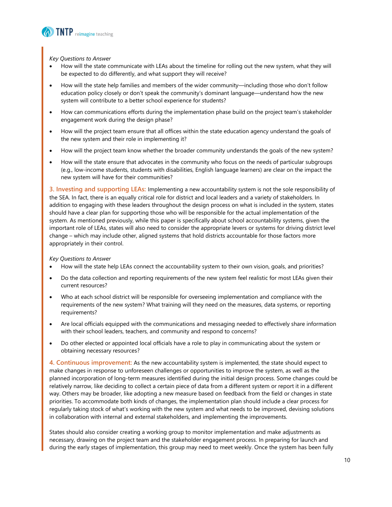

*Key Questions to Answer*

- How will the state communicate with LEAs about the timeline for rolling out the new system, what they will be expected to do differently, and what support they will receive?
- How will the state help families and members of the wider community—including those who don't follow education policy closely or don't speak the community's dominant language—understand how the new system will contribute to a better school experience for students?
- How can communications efforts during the implementation phase build on the project team's stakeholder engagement work during the design phase?
- How will the project team ensure that all offices within the state education agency understand the goals of the new system and their role in implementing it?
- How will the project team know whether the broader community understands the goals of the new system?
- How will the state ensure that advocates in the community who focus on the needs of particular subgroups (e.g., low-income students, students with disabilities, English language learners) are clear on the impact the new system will have for their communities?

**3. Investing and supporting LEAs:** Implementing a new accountability system is not the sole responsibility of the SEA. In fact, there is an equally critical role for district and local leaders and a variety of stakeholders. In addition to engaging with these leaders throughout the design process on what is included in the system, states should have a clear plan for supporting those who will be responsible for the actual implementation of the system. As mentioned previously, while this paper is specifically about school accountability systems, given the important role of LEAs, states will also need to consider the appropriate levers or systems for driving district level change – which may include other, aligned systems that hold districts accountable for those factors more appropriately in their control.

*Key Questions to Answer*

- How will the state help LEAs connect the accountability system to their own vision, goals, and priorities?
- Do the data collection and reporting requirements of the new system feel realistic for most LEAs given their current resources?
- Who at each school district will be responsible for overseeing implementation and compliance with the requirements of the new system? What training will they need on the measures, data systems, or reporting requirements?
- Are local officials equipped with the communications and messaging needed to effectively share information with their school leaders, teachers, and community and respond to concerns?
- Do other elected or appointed local officials have a role to play in communicating about the system or obtaining necessary resources?

**4. Continuous improvement:** As the new accountability system is implemented, the state should expect to make changes in response to unforeseen challenges or opportunities to improve the system, as well as the planned incorporation of long-term measures identified during the initial design process. Some changes could be relatively narrow, like deciding to collect a certain piece of data from a different system or report it in a different way. Others may be broader, like adopting a new measure based on feedback from the field or changes in state priorities. To accommodate both kinds of changes, the implementation plan should include a clear process for regularly taking stock of what's working with the new system and what needs to be improved, devising solutions in collaboration with internal and external stakeholders, and implementing the improvements.

States should also consider creating a working group to monitor implementation and make adjustments as necessary, drawing on the project team and the stakeholder engagement process. In preparing for launch and during the early stages of implementation, this group may need to meet weekly. Once the system has been fully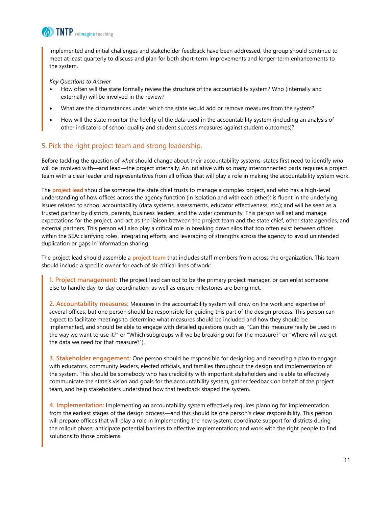

implemented and initial challenges and stakeholder feedback have been addressed, the group should continue to meet at least quarterly to discuss and plan for both short-term improvements and longer-term enhancements to the system.

*Key Questions to Answer*

- How often will the state formally review the structure of the accountability system? Who (internally and externally) will be involved in the review?
- What are the circumstances under which the state would add or remove measures from the system?
- How will the state monitor the fidelity of the data used in the accountability system (including an analysis of other indicators of school quality and student success measures against student outcomes)?

#### <span id="page-11-0"></span>5. Pick the right project team and strong leadership.

Before tackling the question of *what* should change about their accountability systems, states first need to identify *who* will be involved with—and lead—the project internally. An initiative with so many interconnected parts requires a project team with a clear leader and representatives from all offices that will play a role in making the accountability system work.

The **project lead** should be someone the state chief trusts to manage a complex project, and who has a high-level understanding of how offices across the agency function (in isolation and with each other); is fluent in the underlying issues related to school accountability (data systems, assessments, educator effectiveness, etc.); and will be seen as a trusted partner by districts, parents, business leaders, and the wider community. This person will set and manage expectations for the project, and act as the liaison between the project team and the state chief, other state agencies, and external partners. This person will also play a critical role in breaking down silos that too often exist between offices within the SEA: clarifying roles, integrating efforts, and leveraging of strengths across the agency to avoid unintended duplication or gaps in information sharing.

The project lead should assemble a **project team** that includes staff members from across the organization. This team should include a specific owner for each of six critical lines of work:

**1. Project management:** The project lead can opt to be the primary project manager, or can enlist someone else to handle day-to-day coordination, as well as ensure milestones are being met.

**2. Accountability measures:** Measures in the accountability system will draw on the work and expertise of several offices, but one person should be responsible for guiding this part of the design process. This person can expect to facilitate meetings to determine what measures should be included and how they should be implemented, and should be able to engage with detailed questions (such as, "Can this measure really be used in the way we want to use it?" or "Which subgroups will we be breaking out for the measure?" or "Where will we get the data we need for that measure?").

**3. Stakeholder engagement:** One person should be responsible for designing and executing a plan to engage with educators, community leaders, elected officials, and families throughout the design and implementation of the system. This should be somebody who has credibility with important stakeholders and is able to effectively communicate the state's vision and goals for the accountability system, gather feedback on behalf of the project team, and help stakeholders understand how that feedback shaped the system.

**4. Implementation:** Implementing an accountability system effectively requires planning for implementation from the earliest stages of the design process—and this should be one person's clear responsibility. This person will prepare offices that will play a role in implementing the new system; coordinate support for districts during the rollout phase; anticipate potential barriers to effective implementation; and work with the right people to find solutions to those problems.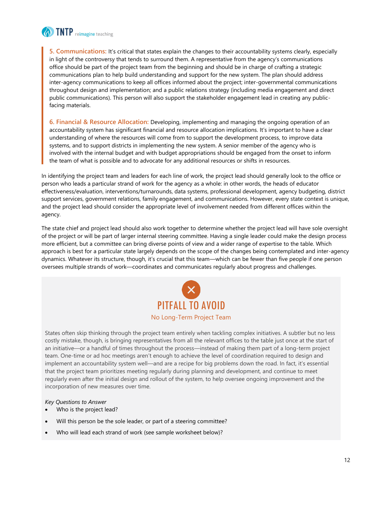

**5. Communications:** It's critical that states explain the changes to their accountability systems clearly, especially in light of the controversy that tends to surround them. A representative from the agency's communications office should be part of the project team from the beginning and should be in charge of crafting a strategic communications plan to help build understanding and support for the new system. The plan should address inter-agency communications to keep all offices informed about the project; inter-governmental communications throughout design and implementation; and a public relations strategy (including media engagement and direct public communications). This person will also support the stakeholder engagement lead in creating any publicfacing materials.

**6. Financial & Resource Allocation:** Developing, implementing and managing the ongoing operation of an accountability system has significant financial and resource allocation implications. It's important to have a clear understanding of where the resources will come from to support the development process, to improve data systems, and to support districts in implementing the new system. A senior member of the agency who is involved with the internal budget and with budget appropriations should be engaged from the onset to inform the team of what is possible and to advocate for any additional resources or shifts in resources.

In identifying the project team and leaders for each line of work, the project lead should generally look to the office or person who leads a particular strand of work for the agency as a whole: in other words, the heads of educator effectiveness/evaluation, interventions/turnarounds, data systems, professional development, agency budgeting, district support services, government relations, family engagement, and communications. However, every state context is unique, and the project lead should consider the appropriate level of involvement needed from different offices within the agency.

The state chief and project lead should also work together to determine whether the project lead will have sole oversight of the project or will be part of larger internal steering committee. Having a single leader could make the design process more efficient, but a committee can bring diverse points of view and a wider range of expertise to the table. Which approach is best for a particular state largely depends on the scope of the changes being contemplated and inter-agency dynamics. Whatever its structure, though, it's crucial that this team—which can be fewer than five people if one person oversees multiple strands of work—coordinates and communicates regularly about progress and challenges.



States often skip thinking through the project team entirely when tackling complex initiatives. A subtler but no less costly mistake, though, is bringing representatives from all the relevant offices to the table just once at the start of an initiative—or a handful of times throughout the process—instead of making them part of a long-term project team. One-time or ad hoc meetings aren't enough to achieve the level of coordination required to design and implement an accountability system well—and are a recipe for big problems down the road. In fact, it's essential that the project team prioritizes meeting regularly during planning and development, and continue to meet regularly even after the initial design and rollout of the system, to help oversee ongoing improvement and the incorporation of new measures over time.

*Key Questions to Answer*

- Who is the project lead?
- Will this person be the sole leader, or part of a steering committee?
- Who will lead each strand of work (see sample worksheet below)?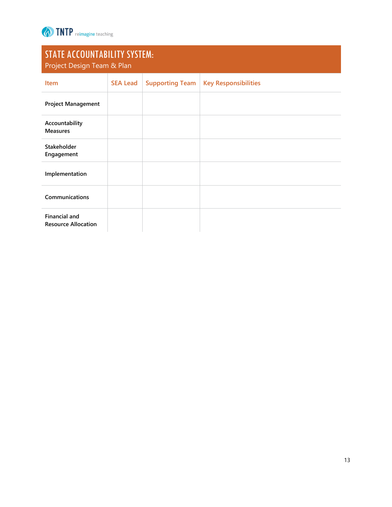

# STATE ACCOUNTABILITY SYSTEM:

| Project Design Team & Plan                         |                 |                        |                             |  |
|----------------------------------------------------|-----------------|------------------------|-----------------------------|--|
| <b>Item</b>                                        | <b>SEA Lead</b> | <b>Supporting Team</b> | <b>Key Responsibilities</b> |  |
| <b>Project Management</b>                          |                 |                        |                             |  |
| Accountability<br><b>Measures</b>                  |                 |                        |                             |  |
| Stakeholder<br>Engagement                          |                 |                        |                             |  |
| Implementation                                     |                 |                        |                             |  |
| Communications                                     |                 |                        |                             |  |
| <b>Financial and</b><br><b>Resource Allocation</b> |                 |                        |                             |  |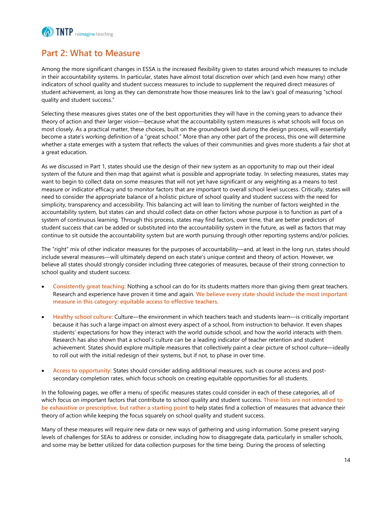

## <span id="page-14-0"></span>**Part 2: What to Measure**

Among the more significant changes in ESSA is the increased flexibility given to states around which measures to include in their accountability systems. In particular, states have almost total discretion over which (and even how many) other indicators of school quality and student success measures to include to supplement the required direct measures of student achievement, as long as they can demonstrate how those measures link to the law's goal of measuring "school quality and student success."

Selecting these measures gives states one of the best opportunities they will have in the coming years to advance their theory of action and their larger vision—because what the accountability system measures is what schools will focus on most closely. As a practical matter, these choices, built on the groundwork laid during the design process, will essentially become a state's working definition of a "great school." More than any other part of the process, this one will determine whether a state emerges with a system that reflects the values of their communities and gives more students a fair shot at a great education.

As we discussed in Part 1, states should use the design of their new system as an opportunity to map out their ideal system of the future and then map that against what is possible and appropriate today. In selecting measures, states may want to begin to collect data on some measures that will not yet have significant or any weighting as a means to test measure or indicator efficacy and to monitor factors that are important to overall school level success. Critically, states will need to consider the appropriate balance of a holistic picture of school quality and student success with the need for simplicity, transparency and accessibility. This balancing act will lean to limiting the number of factors weighted in the accountability system, but states can and should collect data on other factors whose purpose is to function as part of a system of continuous learning. Through this process, states may find factors, over time, that are better predictors of student success that can be added or substituted into the accountability system in the future, as well as factors that may continue to sit outside the accountability system but are worth pursuing through other reporting systems and/or policies.

The "right" mix of other indicator measures for the purposes of accountability—and, at least in the long run, states should include several measures—will ultimately depend on each state's unique context and theory of action. However, we believe all states should strongly consider including three categories of measures, because of their strong connection to school quality and student success:

- **Consistently great teaching:** Nothing a school can do for its students matters more than giving them great teachers. Research and experience have proven it time and again. **We believe every state should include the most important measure in this category: equitable access to effective teachers.**
- **Healthy school culture:** Culture—the environment in which teachers teach and students learn—is critically important because it has such a large impact on almost every aspect of a school, from instruction to behavior. It even shapes students' expectations for how they interact with the world outside school, and how the world interacts with them. Research has also shown that a school's culture can be a leading indicator of teacher retention and student achievement. States should explore multiple measures that collectively paint a clear picture of school culture—ideally to roll out with the initial redesign of their systems, but if not, to phase in over time.
- **Access to opportunity:** States should consider adding additional measures, such as course access and postsecondary completion rates, which focus schools on creating equitable opportunities for all students.

In the following pages, we offer a menu of specific measures states could consider in each of these categories, all of which focus on important factors that contribute to school quality and student success. **These lists are not intended to be exhaustive or prescriptive, but rather a starting point** to help states find a collection of measures that advance their theory of action while keeping the focus squarely on school quality and student success.

Many of these measures will require new data or new ways of gathering and using information. Some present varying levels of challenges for SEAs to address or consider, including how to disaggregate data, particularly in smaller schools, and some may be better utilized for data collection purposes for the time being. During the process of selecting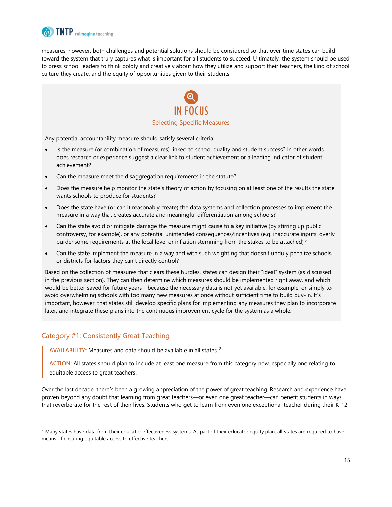

measures, however, both challenges and potential solutions should be considered so that over time states can build toward the system that truly captures what is important for all students to succeed. Ultimately, the system should be used to press school leaders to think boldly and creatively about how they utilize and support their teachers, the kind of school culture they create, and the equity of opportunities given to their students.



Any potential accountability measure should satisfy several criteria:

- Is the measure (or combination of measures) linked to school quality and student success? In other words, does research or experience suggest a clear link to student achievement or a leading indicator of student achievement?
- Can the measure meet the disaggregation requirements in the statute?
- Does the measure help monitor the state's theory of action by focusing on at least one of the results the state wants schools to produce for students?
- Does the state have (or can it reasonably create) the data systems and collection processes to implement the measure in a way that creates accurate and meaningful differentiation among schools?
- Can the state avoid or mitigate damage the measure might cause to a key initiative (by stirring up public controversy, for example), or any potential unintended consequences/incentives (e.g. inaccurate inputs, overly burdensome requirements at the local level or inflation stemming from the stakes to be attached)?
- Can the state implement the measure in a way and with such weighting that doesn't unduly penalize schools or districts for factors they can't directly control?

Based on the collection of measures that clears these hurdles, states can design their "ideal" system (as discussed in the previous section). They can then determine which measures should be implemented right away, and which would be better saved for future years—because the necessary data is not yet available, for example, or simply to avoid overwhelming schools with too many new measures at once without sufficient time to build buy-in. It's important, however, that states still develop specific plans for implementing any measures they plan to incorporate later, and integrate these plans into the continuous improvement cycle for the system as a whole.

#### <span id="page-15-0"></span>Category #1: Consistently Great Teaching

l

**AVAILABILITY:** Measures and data should be available in all states. <sup>2</sup>

**ACTION:** All states should plan to include at least one measure from this category now, especially one relating to equitable access to great teachers.

Over the last decade, there's been a growing appreciation of the power of great teaching. Research and experience have proven beyond any doubt that learning from great teachers—or even one great teacher—can benefit students in ways that reverberate for the rest of their lives. Students who get to learn from even one exceptional teacher during their K-12

 $<sup>2</sup>$  Many states have data from their educator effectiveness systems. As part of their educator equity plan, all states are required to have</sup> means of ensuring equitable access to effective teachers.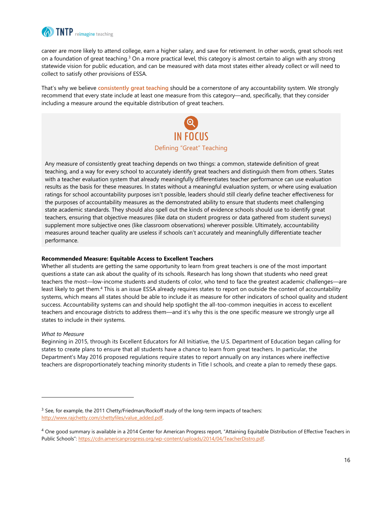

career are more likely to attend college, earn a higher salary, and save for retirement. In other words, great schools rest on a foundation of great teaching.<sup>3</sup> On a more practical level, this category is almost certain to align with any strong statewide vision for public education, and can be measured with data most states either already collect or will need to collect to satisfy other provisions of ESSA.

That's why we believe **consistently great teaching** should be a cornerstone of any accountability system. We strongly recommend that every state include at least one measure from this category—and, specifically, that they consider including a measure around the equitable distribution of great teachers.



Any measure of consistently great teaching depends on two things: a common, statewide definition of great teaching, and a way for every school to accurately identify great teachers and distinguish them from others. States with a teacher evaluation system that already meaningfully differentiates teacher performance can use evaluation results as the basis for these measures. In states without a meaningful evaluation system, or where using evaluation ratings for school accountability purposes isn't possible, leaders should still clearly define teacher effectiveness for the purposes of accountability measures as the demonstrated ability to ensure that students meet challenging state academic standards. They should also spell out the kinds of evidence schools should use to identify great teachers, ensuring that objective measures (like data on student progress or data gathered from student surveys) supplement more subjective ones (like classroom observations) wherever possible. Ultimately, accountability measures around teacher quality are useless if schools can't accurately and meaningfully differentiate teacher performance.

#### **Recommended Measure: Equitable Access to Excellent Teachers**

Whether all students are getting the same opportunity to learn from great teachers is one of the most important questions a state can ask about the quality of its schools. Research has long shown that students who need great teachers the most—low-income students and students of color, who tend to face the greatest academic challenges—are least likely to get them.<sup>4</sup> This is an issue ESSA already requires states to report on outside the context of accountability systems, which means all states should be able to include it as measure for other indicators of school quality and student success. Accountability systems can and should help spotlight the all-too-common inequities in access to excellent teachers and encourage districts to address them—and it's why this is the one specific measure we strongly urge all states to include in their systems.

#### *What to Measure*

l

Beginning in 2015, through its Excellent Educators for All Initiative, the U.S. Department of Education began calling for states to create plans to ensure that all students have a chance to learn from great teachers. In particular, the Department's May 2016 proposed regulations require states to report annually on any instances where ineffective teachers are disproportionately teaching minority students in Title I schools, and create a plan to remedy these gaps.

 $3$  See, for example, the 2011 Chetty/Friedman/Rockoff study of the long-term impacts of teachers: [http://www.rajchetty.com/chettyfiles/value\\_added.pdf.](http://www.rajchetty.com/chettyfiles/value_added.pdf) 

<sup>&</sup>lt;sup>4</sup> One good summary is available in a 2014 Center for American Progress report, "Attaining Equitable Distribution of Effective Teachers in Public Schools": https://cdn.americanprogress.org/wp-content/uploads/2014/04/TeacherDistro.pdf.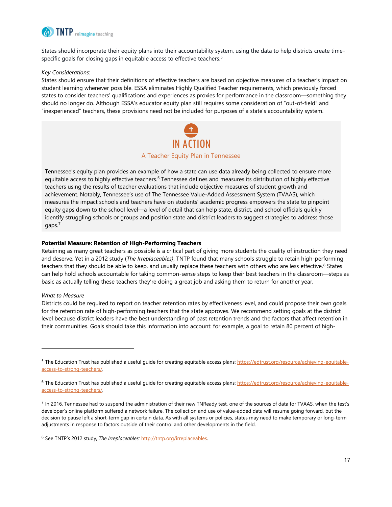

States should incorporate their equity plans into their accountability system, using the data to help districts create timespecific goals for closing gaps in equitable access to effective teachers.<sup>5</sup>

#### *Key Considerations:*

States should ensure that their definitions of effective teachers are based on objective measures of a teacher's impact on student learning whenever possible. ESSA eliminates Highly Qualified Teacher requirements, which previously forced states to consider teachers' qualifications and experiences as proxies for performance in the classroom—something they should no longer do. Although ESSA's educator equity plan still requires some consideration of "out-of-field" and "inexperienced" teachers, these provisions need not be included for purposes of a state's accountability system.



Tennessee's equity plan provides an example of how a state can use data already being collected to ensure more equitable access to highly effective teachers.<sup>6</sup> Tennessee defines and measures its distribution of highly effective teachers using the results of teacher evaluations that include objective measures of student growth and achievement. Notably, Tennessee's use of The Tennessee Value-Added Assessment System (TVAAS), which measures the impact schools and teachers have on students' academic progress empowers the state to pinpoint equity gaps down to the school level—a level of detail that can help state, district, and school officials quickly identify struggling schools or groups and position state and district leaders to suggest strategies to address those gaps.<sup>7</sup>

#### **Potential Measure: Retention of High-Performing Teachers**

Retaining as many great teachers as possible is a critical part of giving more students the quality of instruction they need and deserve. Yet in a 2012 study (*The Irreplaceables)*, TNTP found that many schools struggle to retain high-performing teachers that they should be able to keep, and usually replace these teachers with others who are less effective.<sup>8</sup> States can help hold schools accountable for taking common-sense steps to keep their best teachers in the classroom—steps as basic as actually telling these teachers they're doing a great job and asking them to return for another year.

#### *What to Measure*

l

Districts could be required to report on teacher retention rates by effectiveness level, and could propose their own goals for the retention rate of high-performing teachers that the state approves. We recommend setting goals at the district level because district leaders have the best understanding of past retention trends and the factors that affect retention in their communities. Goals should take this information into account: for example, a goal to retain 80 percent of high-

<sup>&</sup>lt;sup>5</sup> The Education Trust has published a useful guide for creating equitable access plans[: https://edtrust.org/resource/achieving-equitable](https://edtrust.org/resource/achieving-equitable-access-to-strong-teachers/)[access-to-strong-teachers/.](https://edtrust.org/resource/achieving-equitable-access-to-strong-teachers/) 

<sup>&</sup>lt;sup>6</sup> The Education Trust has published a useful guide for creating equitable access plans[: https://edtrust.org/resource/achieving-equitable](https://edtrust.org/resource/achieving-equitable-access-to-strong-teachers/)[access-to-strong-teachers/.](https://edtrust.org/resource/achieving-equitable-access-to-strong-teachers/) 

 $^7$  In 2016, Tennessee had to suspend the administration of their new TNReady test, one of the sources of data for TVAAS, when the test's developer's online platform suffered a network failure. The collection and use of value-added data will resume going forward, but the decision to pause left a short-term gap in certain data. As with all systems or policies, states may need to make temporary or long-term adjustments in response to factors outside of their control and other developments in the field.

<sup>8</sup> See TNTP's 2012 study, *The Irreplaceables:* [http://tntp.org/irreplaceables.](http://tntp.org/irreplaceables)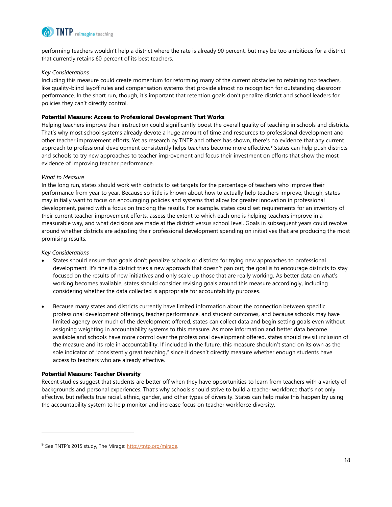

performing teachers wouldn't help a district where the rate is already 90 percent, but may be too ambitious for a district that currently retains 60 percent of its best teachers.

#### *Key Considerations*

Including this measure could create momentum for reforming many of the current obstacles to retaining top teachers, like quality-blind layoff rules and compensation systems that provide almost no recognition for outstanding classroom performance. In the short run, though, it's important that retention goals don't penalize district and school leaders for policies they can't directly control.

#### **Potential Measure: Access to Professional Development That Works**

Helping teachers improve their instruction could significantly boost the overall quality of teaching in schools and districts. That's why most school systems already devote a huge amount of time and resources to professional development and other teacher improvement efforts. Yet as research by TNTP and others has shown, there's no evidence that any current approach to professional development consistently helps teachers become more effective.<sup>9</sup> States can help push districts and schools to try new approaches to teacher improvement and focus their investment on efforts that show the most evidence of improving teacher performance.

#### *What to Measure*

In the long run, states should work with districts to set targets for the percentage of teachers who improve their performance from year to year. Because so little is known about how to actually help teachers improve, though, states may initially want to focus on encouraging policies and systems that allow for greater innovation in professional development, paired with a focus on tracking the results. For example, states could set requirements for an inventory of their current teacher improvement efforts, assess the extent to which each one is helping teachers improve in a measurable way, and what decisions are made at the district versus school level. Goals in subsequent years could revolve around whether districts are adjusting their professional development spending on initiatives that are producing the most promising results.

#### *Key Considerations*

l

- States should ensure that goals don't penalize schools or districts for trying new approaches to professional development. It's fine if a district tries a new approach that doesn't pan out; the goal is to encourage districts to stay focused on the results of new initiatives and only scale up those that are really working. As better data on what's working becomes available, states should consider revising goals around this measure accordingly, including considering whether the data collected is appropriate for accountability purposes.
- Because many states and districts currently have limited information about the connection between specific professional development offerings, teacher performance, and student outcomes, and because schools may have limited agency over much of the development offered, states can collect data and begin setting goals even without assigning weighting in accountability systems to this measure. As more information and better data become available and schools have more control over the professional development offered, states should revisit inclusion of the measure and its role in accountability. If included in the future, this measure shouldn't stand on its own as the sole indicator of "consistently great teaching," since it doesn't directly measure whether enough students have access to teachers who are already effective.

#### **Potential Measure: Teacher Diversity**

Recent studies suggest that students are better off when they have opportunities to learn from teachers with a variety of backgrounds and personal experiences. That's why schools should strive to build a teacher workforce that's not only effective, but reflects true racial, ethnic, gender, and other types of diversity. States can help make this happen by using the accountability system to help monitor and increase focus on teacher workforce diversity.

<sup>&</sup>lt;sup>9</sup> See TNTP's 2015 study, The Mirage: [http://tntp.org/mirage.](http://tntp.org/mirage)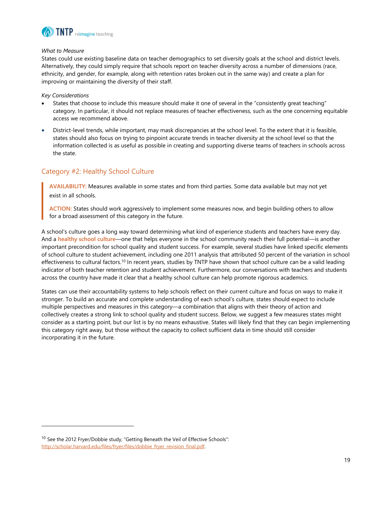

#### *What to Measure*

States could use existing baseline data on teacher demographics to set diversity goals at the school and district levels. Alternatively, they could simply require that schools report on teacher diversity across a number of dimensions (race, ethnicity, and gender, for example, along with retention rates broken out in the same way) and create a plan for improving or maintaining the diversity of their staff.

*Key Considerations*

l

- States that choose to include this measure should make it one of several in the "consistently great teaching" category. In particular, it should not replace measures of teacher effectiveness, such as the one concerning equitable access we recommend above.
- District-level trends, while important, may mask discrepancies at the school level. To the extent that it is feasible, states should also focus on trying to pinpoint accurate trends in teacher diversity at the school level so that the information collected is as useful as possible in creating and supporting diverse teams of teachers in schools across the state.

#### <span id="page-19-0"></span>Category #2: Healthy School Culture

**AVAILABILITY:** Measures available in some states and from third parties. Some data available but may not yet exist in all schools.

**ACTION:** States should work aggressively to implement some measures now, and begin building others to allow for a broad assessment of this category in the future.

A school's culture goes a long way toward determining what kind of experience students and teachers have every day. And a **healthy school culture**—one that helps everyone in the school community reach their full potential—is another important precondition for school quality and student success. For example, several studies have linked specific elements of school culture to student achievement, including one 2011 analysis that attributed 50 percent of the variation in school effectiveness to cultural factors.<sup>10</sup> In recent years, studies by TNTP have shown that school culture can be a valid leading indicator of both teacher retention and student achievement. Furthermore, our conversations with teachers and students across the country have made it clear that a healthy school culture can help promote rigorous academics.

States can use their accountability systems to help schools reflect on their current culture and focus on ways to make it stronger. To build an accurate and complete understanding of each school's culture, states should expect to include multiple perspectives and measures in this category—a combination that aligns with their theory of action and collectively creates a strong link to school quality and student success. Below, we suggest a few measures states might consider as a starting point, but our list is by no means exhaustive. States will likely find that they can begin implementing this category right away, but those without the capacity to collect sufficient data in time should still consider incorporating it in the future.

<sup>&</sup>lt;sup>10</sup> See the 2012 Fryer/Dobbie study, "Getting Beneath the Veil of Effective Schools": http://scholar.harvard.edu/files/fryer/files/dobbie\_fryer\_revision\_final.pdf.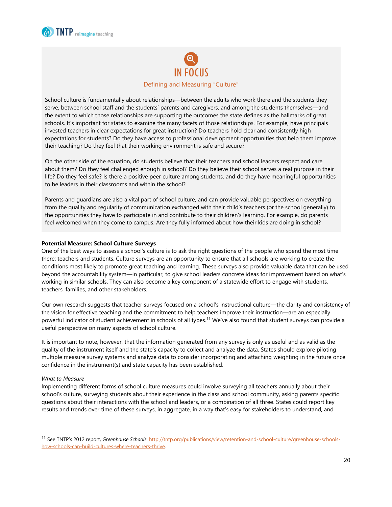



School culture is fundamentally about relationships—between the adults who work there and the students they serve, between school staff and the students' parents and caregivers, and among the students themselves—and the extent to which those relationships are supporting the outcomes the state defines as the hallmarks of great schools. It's important for states to examine the many facets of those relationships. For example, have principals invested teachers in clear expectations for great instruction? Do teachers hold clear and consistently high expectations for students? Do they have access to professional development opportunities that help them improve their teaching? Do they feel that their working environment is safe and secure?

On the other side of the equation, do students believe that their teachers and school leaders respect and care about them? Do they feel challenged enough in school? Do they believe their school serves a real purpose in their life? Do they feel safe? Is there a positive peer culture among students, and do they have meaningful opportunities to be leaders in their classrooms and within the school?

Parents and guardians are also a vital part of school culture, and can provide valuable perspectives on everything from the quality and regularity of communication exchanged with their child's teachers (or the school generally) to the opportunities they have to participate in and contribute to their children's learning. For example, do parents feel welcomed when they come to campus. Are they fully informed about how their kids are doing in school?

#### **Potential Measure: School Culture Surveys**

One of the best ways to assess a school's culture is to ask the right questions of the people who spend the most time there: teachers and students. Culture surveys are an opportunity to ensure that all schools are working to create the conditions most likely to promote great teaching and learning. These surveys also provide valuable data that can be used beyond the accountability system—in particular, to give school leaders concrete ideas for improvement based on what's working in similar schools. They can also become a key component of a statewide effort to engage with students, teachers, families, and other stakeholders.

Our own research suggests that teacher surveys focused on a school's instructional culture—the clarity and consistency of the vision for effective teaching and the commitment to help teachers improve their instruction—are an especially powerful indicator of student achievement in schools of all types.<sup>11</sup> We've also found that student surveys can provide a useful perspective on many aspects of school culture.

It is important to note, however, that the information generated from any survey is only as useful and as valid as the quality of the instrument itself and the state's capacity to collect and analyze the data. States should explore piloting multiple measure survey systems and analyze data to consider incorporating and attaching weighting in the future once confidence in the instrument(s) and state capacity has been established.

#### *What to Measure*

l

Implementing different forms of school culture measures could involve surveying all teachers annually about their school's culture, surveying students about their experience in the class and school community, asking parents specific questions about their interactions with the school and leaders, or a combination of all three. States could report key results and trends over time of these surveys, in aggregate, in a way that's easy for stakeholders to understand, and

<sup>11</sup> See TNTP's 2012 report, *Greenhouse Schools*[: http://tntp.org/publications/view/retention-and-school-culture/greenhouse-schools](http://tntp.org/publications/view/retention-and-school-culture/greenhouse-schools-how-schools-can-build-cultures-where-teachers-thrive)[how-schools-can-build-cultures-where-teachers-thrive.](http://tntp.org/publications/view/retention-and-school-culture/greenhouse-schools-how-schools-can-build-cultures-where-teachers-thrive)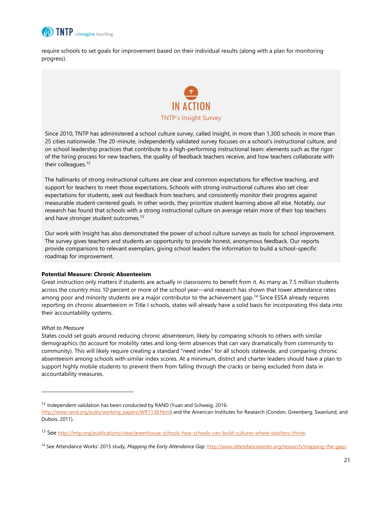

require schools to set goals for improvement based on their individual results (along with a plan for monitoring progress).



Since 2010, TNTP has administered a school culture survey, called Insight, in more than 1,300 schools in more than 25 cities nationwide. The 20-minute, independently validated survey focuses on a school's instructional culture, and on school leadership practices that contribute to a high-performing instructional team: elements such as the rigor of the hiring process for new teachers, the quality of feedback teachers receive, and how teachers collaborate with their colleagues.<sup>12</sup>

The hallmarks of strong instructional cultures are clear and common expectations for effective teaching, and support for teachers to meet those expectations. Schools with strong instructional cultures also set clear expectations for students, seek out feedback from teachers, and consistently monitor their progress against measurable student-centered goals. In other words, they prioritize student learning above all else. Notably, our research has found that schools with a strong instructional culture on average retain more of their top teachers and have\_stronger\_student\_outcomes.<sup>13</sup>

Our work with Insight has also demonstrated the power of school culture surveys as tools for school improvement. The survey gives teachers and students an opportunity to provide honest, anonymous feedback. Our reports provide comparisons to relevant exemplars, giving school leaders the information to build a school-specific roadmap for improvement.

#### **Potential Measure: Chronic Absenteeism**

Great instruction only matters if students are actually in classrooms to benefit from it. As many as 7.5 million students across the country miss 10 percent or more of the school year—and research has shown that lower attendance rates among poor and minority students are a major contributor to the achievement gap.<sup>14</sup> Since ESSA already requires reporting on chronic absenteeism in Title I schools, states will already have a solid basis for incorporating this data into their accountability systems.

#### *What to Measure*

l

States could set goals around reducing chronic absenteeism, likely by comparing schools to others with similar demographics (to account for mobility rates and long-term absences that can vary dramatically from community to community). This will likely require creating a standard "need index" for all schools statewide, and comparing chronic absenteeism among schools with similar index scores. At a minimum, district and charter leaders should have a plan to support highly mobile students to prevent them from falling through the cracks or being excluded from data in accountability measures.

 $12$  Independent validation has been conducted by RAND (Yuan and Schweig, 2016:

[http://www.rand.org/pubs/working\\_papers/WR1138.html\)](http://www.rand.org/pubs/working_papers/WR1138.html) and the American Institutes for Research (Condon, Greenberg, Swanlund, and Dubois, 2011).

<sup>&</sup>lt;sup>13</sup> See http://tntp.org/publications/view/greenhouse-schools-how-schools-can-build-cultures-where-teachers-thrive.

<sup>14</sup> See Attendance Works' 2015 study, *Mapping the Early Attendance Gap*[: http://www.attendanceworks.org/research/mapping-the-gap/.](http://www.attendanceworks.org/research/mapping-the-gap/)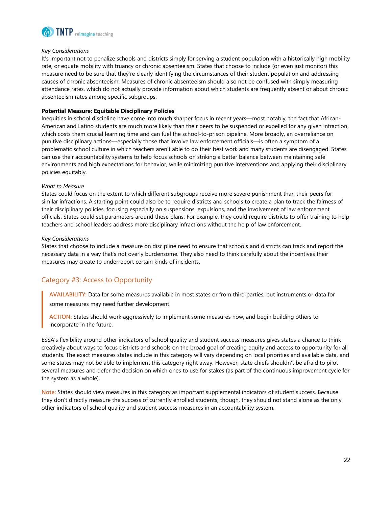

#### *Key Considerations*

It's important not to penalize schools and districts simply for serving a student population with a historically high mobility rate, or equate mobility with truancy or chronic absenteeism. States that choose to include (or even just monitor) this measure need to be sure that they're clearly identifying the circumstances of their student population and addressing causes of chronic absenteeism. Measures of chronic absenteeism should also not be confused with simply measuring attendance rates, which do not actually provide information about which students are frequently absent or about chronic absenteeism rates among specific subgroups.

#### **Potential Measure: Equitable Disciplinary Policies**

Inequities in school discipline have come into much sharper focus in recent years—most notably, the fact that African-American and Latino students are much more likely than their peers to be suspended or expelled for any given infraction, which costs them crucial learning time and can fuel the school-to-prison pipeline. More broadly, an overreliance on punitive disciplinary actions—especially those that involve law enforcement officials—is often a symptom of a problematic school culture in which teachers aren't able to do their best work and many students are disengaged. States can use their accountability systems to help focus schools on striking a better balance between maintaining safe environments and high expectations for behavior, while minimizing punitive interventions and applying their disciplinary policies equitably.

#### *What to Measure*

States could focus on the extent to which different subgroups receive more severe punishment than their peers for similar infractions. A starting point could also be to require districts and schools to create a plan to track the fairness of their disciplinary policies, focusing especially on suspensions, expulsions, and the involvement of law enforcement officials. States could set parameters around these plans: For example, they could require districts to offer training to help teachers and school leaders address more disciplinary infractions without the help of law enforcement.

#### *Key Considerations*

States that choose to include a measure on discipline need to ensure that schools and districts can track and report the necessary data in a way that's not overly burdensome. They also need to think carefully about the incentives their measures may create to underreport certain kinds of incidents.

#### <span id="page-22-0"></span>Category #3: Access to Opportunity

**AVAILABILITY:** Data for some measures available in most states or from third parties, but instruments or data for some measures may need further development.

**ACTION:** States should work aggressively to implement some measures now, and begin building others to incorporate in the future.

ESSA's flexibility around other indicators of school quality and student success measures gives states a chance to think creatively about ways to focus districts and schools on the broad goal of creating equity and access to opportunity for all students. The exact measures states include in this category will vary depending on local priorities and available data, and some states may not be able to implement this category right away. However, state chiefs shouldn't be afraid to pilot several measures and defer the decision on which ones to use for stakes (as part of the continuous improvement cycle for the system as a whole).

**Note:** States should view measures in this category as important supplemental indicators of student success. Because they don't directly measure the success of currently enrolled students, though, they should not stand alone as the only other indicators of school quality and student success measures in an accountability system.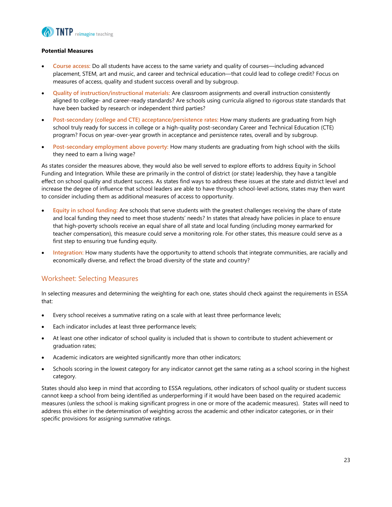

#### **Potential Measures**

- **Course access:** Do all students have access to the same variety and quality of courses—including advanced placement, STEM, art and music, and career and technical education—that could lead to college credit? Focus on measures of access, quality and student success overall and by subgroup.
- **Quality of instruction/instructional materials:** Are classroom assignments and overall instruction consistently aligned to college- and career-ready standards? Are schools using curricula aligned to rigorous state standards that have been backed by research or independent third parties?
- **Post-secondary (college and CTE) acceptance/persistence rates:** How many students are graduating from high school truly ready for success in college or a high-quality post-secondary Career and Technical Education (CTE) program? Focus on year-over-year growth in acceptance and persistence rates, overall and by subgroup.
- **Post-secondary employment above poverty:** How many students are graduating from high school with the skills they need to earn a living wage?

As states consider the measures above, they would also be well served to explore efforts to address Equity in School Funding and Integration. While these are primarily in the control of district (or state) leadership, they have a tangible effect on school quality and student success. As states find ways to address these issues at the state and district level and increase the degree of influence that school leaders are able to have through school-level actions, states may then want to consider including them as additional measures of access to opportunity.

- **Equity in school funding:** Are schools that serve students with the greatest challenges receiving the share of state and local funding they need to meet those students' needs? In states that already have policies in place to ensure that high-poverty schools receive an equal share of all state and local funding (including money earmarked for teacher compensation), this measure could serve a monitoring role. For other states, this measure could serve as a first step to ensuring true funding equity.
- **Integration:** How many students have the opportunity to attend schools that integrate communities, are racially and economically diverse, and reflect the broad diversity of the state and country?

#### <span id="page-23-0"></span>Worksheet: Selecting Measures

In selecting measures and determining the weighting for each one, states should check against the requirements in ESSA that:

- Every school receives a summative rating on a scale with at least three performance levels;
- Each indicator includes at least three performance levels;
- At least one other indicator of school quality is included that is shown to contribute to student achievement or graduation rates;
- Academic indicators are weighted significantly more than other indicators;
- Schools scoring in the lowest category for any indicator cannot get the same rating as a school scoring in the highest category.

States should also keep in mind that according to ESSA regulations, other indicators of school quality or student success cannot keep a school from being identified as underperforming if it would have been based on the required academic measures (unless the school is making significant progress in one or more of the academic measures). States will need to address this either in the determination of weighting across the academic and other indicator categories, or in their specific provisions for assigning summative ratings.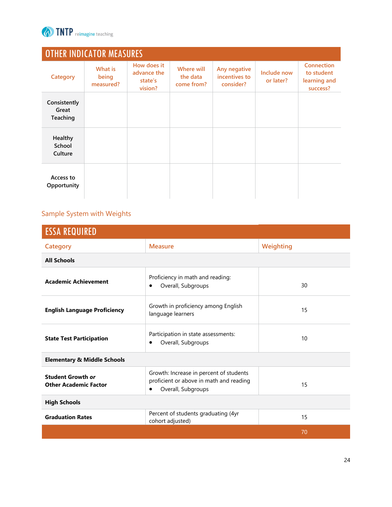

| <b>OTHER INDICATOR MEASURES</b>   |                               |                                                  |                                      |                                            |                          |                                                             |
|-----------------------------------|-------------------------------|--------------------------------------------------|--------------------------------------|--------------------------------------------|--------------------------|-------------------------------------------------------------|
| Category                          | What is<br>being<br>measured? | How does it<br>advance the<br>state's<br>vision? | Where will<br>the data<br>come from? | Any negative<br>incentives to<br>consider? | Include now<br>or later? | <b>Connection</b><br>to student<br>learning and<br>success? |
| Consistently<br>Great<br>Teaching |                               |                                                  |                                      |                                            |                          |                                                             |
| Healthy<br>School<br>Culture      |                               |                                                  |                                      |                                            |                          |                                                             |
| Access to<br>Opportunity          |                               |                                                  |                                      |                                            |                          |                                                             |

# <span id="page-24-0"></span>Sample System with Weights

| <b>ESSA REQUIRED</b>                                     |                                                                                                                       |           |  |  |
|----------------------------------------------------------|-----------------------------------------------------------------------------------------------------------------------|-----------|--|--|
| <b>Category</b>                                          | <b>Measure</b>                                                                                                        | Weighting |  |  |
| <b>All Schools</b>                                       |                                                                                                                       |           |  |  |
| <b>Academic Achievement</b>                              | Proficiency in math and reading:<br>Overall, Subgroups<br>٠                                                           | 30        |  |  |
| <b>English Language Proficiency</b>                      | Growth in proficiency among English<br>language learners                                                              | 15        |  |  |
| <b>State Test Participation</b>                          | Participation in state assessments:<br>Overall, Subgroups<br>٠                                                        | 10        |  |  |
| <b>Elementary &amp; Middle Schools</b>                   |                                                                                                                       |           |  |  |
| <b>Student Growth or</b><br><b>Other Academic Factor</b> | Growth: Increase in percent of students<br>proficient or above in math and reading<br>Overall, Subgroups<br>$\bullet$ | 15        |  |  |
| <b>High Schools</b>                                      |                                                                                                                       |           |  |  |
| <b>Graduation Rates</b>                                  | Percent of students graduating (4yr<br>cohort adjusted)                                                               | 15        |  |  |
|                                                          |                                                                                                                       | 70        |  |  |